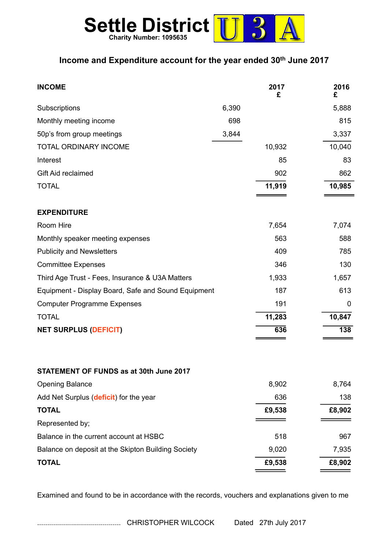

## **Income and Expenditure account for the year ended 30th June 2017**

| <b>INCOME</b>                                       |       | 2017<br>£ | 2016<br>£        |
|-----------------------------------------------------|-------|-----------|------------------|
| Subscriptions                                       | 6,390 |           | 5,888            |
| Monthly meeting income                              | 698   |           | 815              |
| 50p's from group meetings                           | 3,844 |           | 3,337            |
| <b>TOTAL ORDINARY INCOME</b>                        |       | 10,932    | 10,040           |
| Interest                                            |       | 85        | 83               |
| Gift Aid reclaimed                                  |       | 902       | 862              |
| <b>TOTAL</b>                                        |       | 11,919    | 10,985           |
| <b>EXPENDITURE</b>                                  |       |           |                  |
| Room Hire                                           |       | 7,654     | 7,074            |
| Monthly speaker meeting expenses                    |       | 563       | 588              |
| <b>Publicity and Newsletters</b>                    |       | 409       | 785              |
| <b>Committee Expenses</b>                           |       | 346       | 130              |
| Third Age Trust - Fees, Insurance & U3A Matters     |       | 1,933     | 1,657            |
| Equipment - Display Board, Safe and Sound Equipment |       | 187       | 613              |
| <b>Computer Programme Expenses</b>                  |       | 191       | 0                |
| <b>TOTAL</b>                                        |       | 11,283    | 10,847           |
| <b>NET SURPLUS (DEFICIT)</b>                        |       | 636       | $\overline{138}$ |
| STATEMENT OF FUNDS as at 30th June 2017             |       |           |                  |
| <b>Opening Balance</b>                              |       | 8,902     | 8,764            |
| Add Net Surplus (deficit) for the year              |       | 636       | 138              |
| <b>TOTAL</b>                                        |       | £9,538    | £8,902           |
| Represented by;                                     |       |           |                  |
| Balance in the current account at HSBC              |       | 518       | 967              |
| Balance on deposit at the Skipton Building Society  |       | 9,020     | 7,935            |
| <b>TOTAL</b>                                        |       | £9,538    | £8,902           |

Examined and found to be in accordance with the records, vouchers and explanations given to me